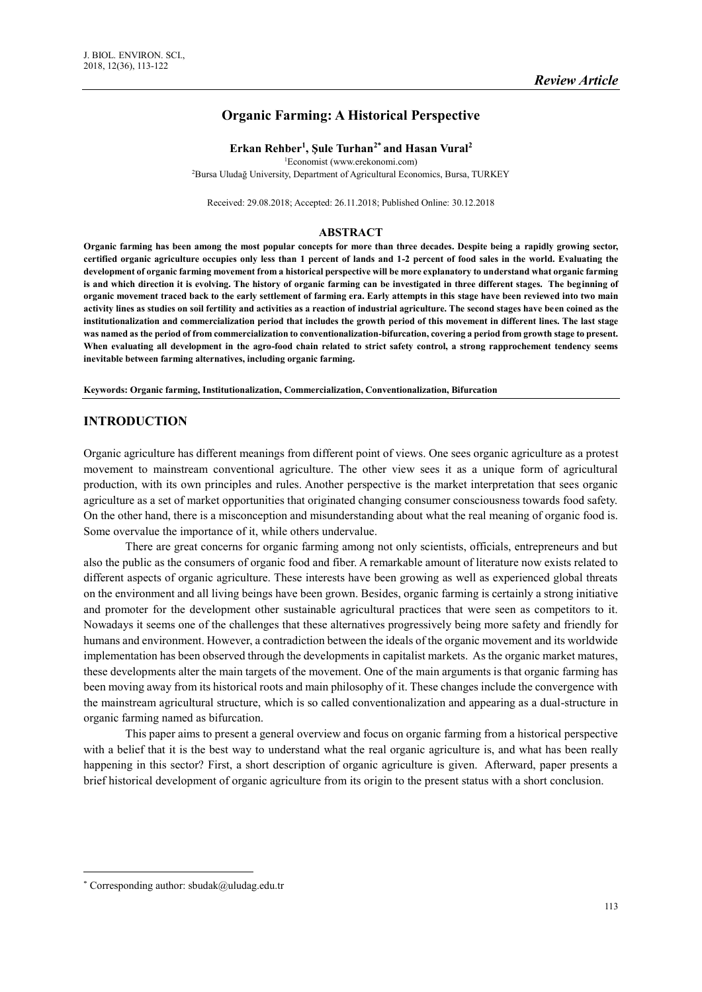# **Organic Farming: A Historical Perspective**

#### **Erkan Rehber<sup>1</sup> , Şule Turhan2\* and Hasan Vural<sup>2</sup>**

<sup>1</sup>Economist (www.erekonomi.com)

<sup>2</sup>Bursa Uludağ University, Department of Agricultural Economics, Bursa, TURKEY

Received: 29.08.2018; Accepted: 26.11.2018; Published Online: 30.12.2018

#### **ABSTRACT**

**Organic farming has been among the most popular concepts for more than three decades. Despite being a rapidly growing sector, certified organic agriculture occupies only less than 1 percent of lands and 1-2 percent of food sales in the world. Evaluating the development of organic farming movement from a historical perspective will be more explanatory to understand what organic farming is and which direction it is evolving. The history of organic farming can be investigated in three different stages. The beginning of organic movement traced back to the early settlement of farming era. Early attempts in this stage have been reviewed into two main activity lines as studies on soil fertility and activities as a reaction of industrial agriculture. The second stages have been coined as the institutionalization and commercialization period that includes the growth period of this movement in different lines. The last stage was named as the period of from commercialization to conventionalization-bifurcation, covering a period from growth stage to present. When evaluating all development in the agro-food chain related to strict safety control, a strong rapprochement tendency seems inevitable between farming alternatives, including organic farming.** 

**Keywords: Organic farming, Institutionalization, Commercialization, Conventionalization, Bifurcation**

# **INTRODUCTION**

Organic agriculture has different meanings from different point of views. One sees organic agriculture as a protest movement to mainstream conventional agriculture. The other view sees it as a unique form of agricultural production, with its own principles and rules. Another perspective is the market interpretation that sees organic agriculture as a set of market opportunities that originated changing consumer consciousness towards food safety. On the other hand, there is a misconception and misunderstanding about what the real meaning of organic food is. Some overvalue the importance of it, while others undervalue.

There are great concerns for organic farming among not only scientists, officials, entrepreneurs and but also the public as the consumers of organic food and fiber. A remarkable amount of literature now exists related to different aspects of organic agriculture. These interests have been growing as well as experienced global threats on the environment and all living beings have been grown. Besides, organic farming is certainly a strong initiative and promoter for the development other sustainable agricultural practices that were seen as competitors to it. Nowadays it seems one of the challenges that these alternatives progressively being more safety and friendly for humans and environment. However, a contradiction between the ideals of the organic movement and its worldwide implementation has been observed through the developments in capitalist markets. As the organic market matures, these developments alter the main targets of the movement. One of the main arguments is that organic farming has been moving away from its historical roots and main philosophy of it. These changes include the convergence with the mainstream agricultural structure, which is so called conventionalization and appearing as a dual-structure in organic farming named as bifurcation.

This paper aims to present a general overview and focus on organic farming from a historical perspective with a belief that it is the best way to understand what the real organic agriculture is, and what has been really happening in this sector? First, a short description of organic agriculture is given. Afterward, paper presents a brief historical development of organic agriculture from its origin to the present status with a short conclusion.

 $\overline{a}$ 

<sup>\*</sup> Corresponding author: sbudak@uludag.edu.tr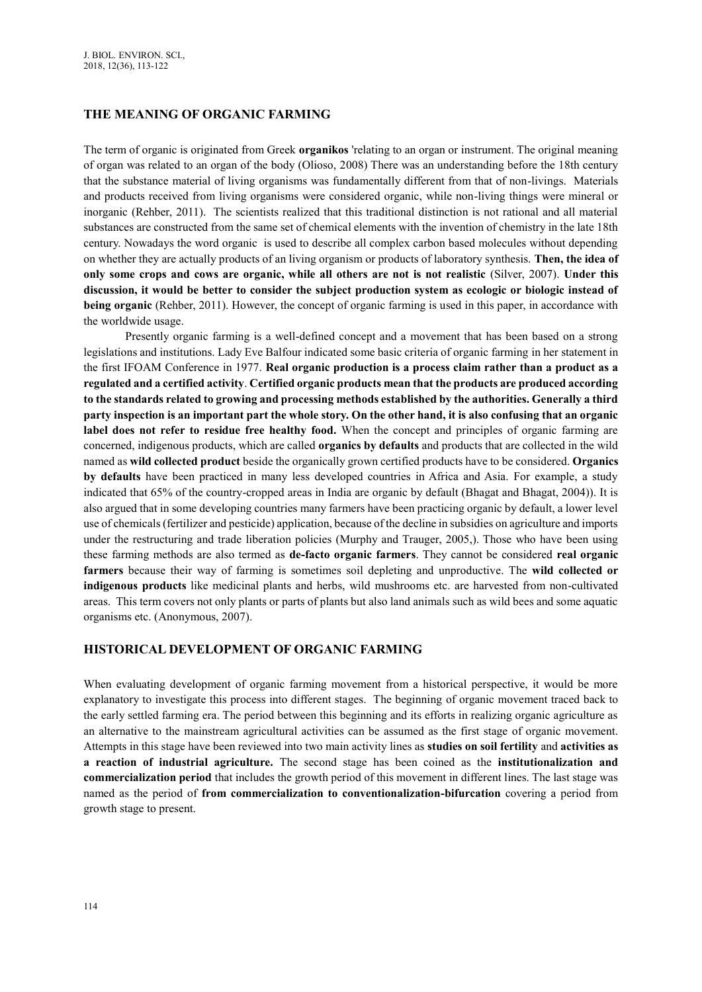### **THE MEANING OF ORGANIC FARMING**

The term of organic is originated from Greek **organikos** 'relating to an organ or instrument. The original meaning of organ was related to an organ of the body (Olioso, 2008) There was an understanding before the 18th century that the substance material of living organisms was fundamentally different from that of non-livings. Materials and products received from living organisms were considered organic, while non-living things were mineral or inorganic (Rehber, 2011). The scientists realized that this traditional distinction is not rational and all material substances are constructed from the same set of chemical elements with the invention of chemistry in the late 18th century. Nowadays the word organic is used to describe all complex carbon based molecules without depending on whether they are actually products of an living organism or products of laboratory synthesis. **Then, the idea of only some crops and cows are organic, while all others are not is not realistic** (Silver, 2007). **Under this discussion, it would be better to consider the subject production system as ecologic or biologic instead of being organic** (Rehber, 2011). However, the concept of organic farming is used in this paper, in accordance with the worldwide usage.

Presently organic farming is a well-defined concept and a movement that has been based on a strong legislations and institutions. Lady Eve Balfour indicated some basic criteria of organic farming in her statement in the first IFOAM Conference in 1977. **Real organic production is a process claim rather than a product as a regulated and a certified activity**. **Certified organic products mean that the products are produced according to the standards related to growing and processing methods established by the authorities. Generally a third party inspection is an important part the whole story. On the other hand, it is also confusing that an organic**  label does not refer to residue free healthy food. When the concept and principles of organic farming are concerned, indigenous products, which are called **organics by defaults** and products that are collected in the wild named as **wild collected product** beside the organically grown certified products have to be considered. **Organics by defaults** have been practiced in many less developed countries in Africa and Asia. For example, a study indicated that 65% of the country-cropped areas in India are organic by default (Bhagat and Bhagat, 2004)). It is also argued that in some developing countries many farmers have been practicing organic by default, a lower level use of chemicals (fertilizer and pesticide) application, because of the decline in subsidies on agriculture and imports under the restructuring and trade liberation policies (Murphy and Trauger, 2005,). Those who have been using these farming methods are also termed as **de-facto organic farmers**. They cannot be considered **real organic farmers** because their way of farming is sometimes soil depleting and unproductive. The **wild collected or indigenous products** like medicinal plants and herbs, wild mushrooms etc. are harvested from non-cultivated areas. This term covers not only plants or parts of plants but also land animals such as wild bees and some aquatic organisms etc. (Anonymous, 2007).

#### **HISTORICAL DEVELOPMENT OF ORGANIC FARMING**

When evaluating development of organic farming movement from a historical perspective, it would be more explanatory to investigate this process into different stages. The beginning of organic movement traced back to the early settled farming era. The period between this beginning and its efforts in realizing organic agriculture as an alternative to the mainstream agricultural activities can be assumed as the first stage of organic movement. Attempts in this stage have been reviewed into two main activity lines as **studies on soil fertility** and **activities as a reaction of industrial agriculture.** The second stage has been coined as the **institutionalization and commercialization period** that includes the growth period of this movement in different lines. The last stage was named as the period of **from commercialization to conventionalization-bifurcation** covering a period from growth stage to present.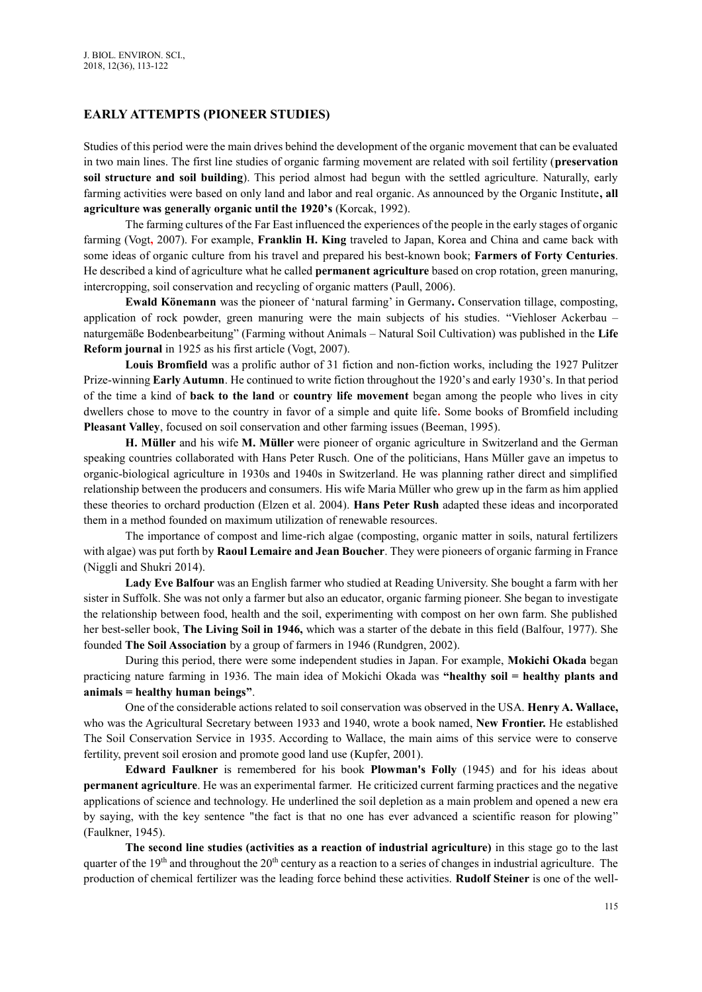## **EARLY ATTEMPTS (PIONEER STUDIES)**

Studies of this period were the main drives behind the development of the organic movement that can be evaluated in two main lines. The first line studies of organic farming movement are related with soil fertility (**preservation soil structure and soil building**). This period almost had begun with the settled agriculture. Naturally, early farming activities were based on only land and labor and real organic. As announced by the Organic Institute**, all agriculture was generally organic until the 1920's** (Korcak, 1992).

The farming cultures of the Far East influenced the experiences of the people in the early stages of organic farming (Vogt**,** 2007). For example, **Franklin H. King** traveled to Japan, Korea and China and came back with some ideas of organic culture from his travel and prepared his best-known book; **Farmers of Forty Centuries**. He described a kind of agriculture what he called **permanent agriculture** based on crop rotation, green manuring, intercropping, soil conservation and recycling of organic matters (Paull, 2006).

**Ewald Könemann** was the pioneer of 'natural farming' in Germany**.** Conservation tillage, composting, application of rock powder, green manuring were the main subjects of his studies. "Viehloser Ackerbau – naturgemäße Bodenbearbeitung" (Farming without Animals – Natural Soil Cultivation) was published in the **Life Reform journal** in 1925 as his first article (Vogt, 2007).

**Louis Bromfield** was a prolific author of 31 fiction and non-fiction works, including the 1927 Pulitzer Prize-winning **Early Autumn**. He continued to write fiction throughout the 1920's and early 1930's. In that period of the time a kind of **back to the land** or **country life movement** began among the people who lives in city dwellers chose to move to the country in favor of a simple and quite life**.** Some books of Bromfield including **Pleasant Valley**, focused on soil conservation and other farming issues (Beeman, 1995).

**H. Müller** and his wife **M. Müller** were pioneer of organic agriculture in Switzerland and the German speaking countries collaborated with Hans Peter Rusch. One of the politicians, Hans Müller gave an impetus to organic-biological agriculture in 1930s and 1940s in Switzerland. He was planning rather direct and simplified relationship between the producers and consumers. His wife Maria Müller who grew up in the farm as him applied these theories to orchard production (Elzen et al. 2004). **Hans Peter Rush** adapted these ideas and incorporated them in a method founded on maximum utilization of renewable resources.

The importance of compost and lime-rich algae (composting, organic matter in soils, natural fertilizers with algae) was put forth by **Raoul Lemaire and Jean Boucher**. They were pioneers of organic farming in France (Niggli and Shukri 2014).

**Lady Eve Balfour** was an English farmer who studied at Reading University. She bought a farm with her sister in Suffolk. She was not only a farmer but also an educator, organic farming pioneer. She began to investigate the relationship between food, health and the soil, experimenting with compost on her own farm. She published her best-seller book, **The Living Soil in 1946,** which was a starter of the debate in this field (Balfour, 1977). She founded **The Soil Association** by a group of farmers in 1946 (Rundgren, 2002).

During this period, there were some independent studies in Japan. For example, **Mokichi Okada** began practicing nature farming in 1936. The main idea of Mokichi Okada was **"healthy soil = healthy plants and animals = healthy human beings"**.

One of the considerable actions related to soil conservation was observed in the USA. **Henry A. Wallace,**  who was the Agricultural Secretary between 1933 and 1940, wrote a book named, **New Frontier.** He established The Soil Conservation Service in 1935. According to Wallace, the main aims of this service were to conserve fertility, prevent soil erosion and promote good land use (Kupfer, 2001).

**Edward Faulkner** is remembered for his book **Plowman's Folly** (1945) and for his ideas about **permanent agriculture**. He was an experimental farmer. He criticized current farming practices and the negative applications of science and technology. He underlined the soil depletion as a main problem and opened a new era by saying, with the key sentence "the fact is that no one has ever advanced a scientific reason for plowing" (Faulkner, 1945).

**The second line studies (activities as a reaction of industrial agriculture)** in this stage go to the last quarter of the  $19<sup>th</sup>$  and throughout the  $20<sup>th</sup>$  century as a reaction to a series of changes in industrial agriculture. The production of chemical fertilizer was the leading force behind these activities. **Rudolf Steiner** is one of the well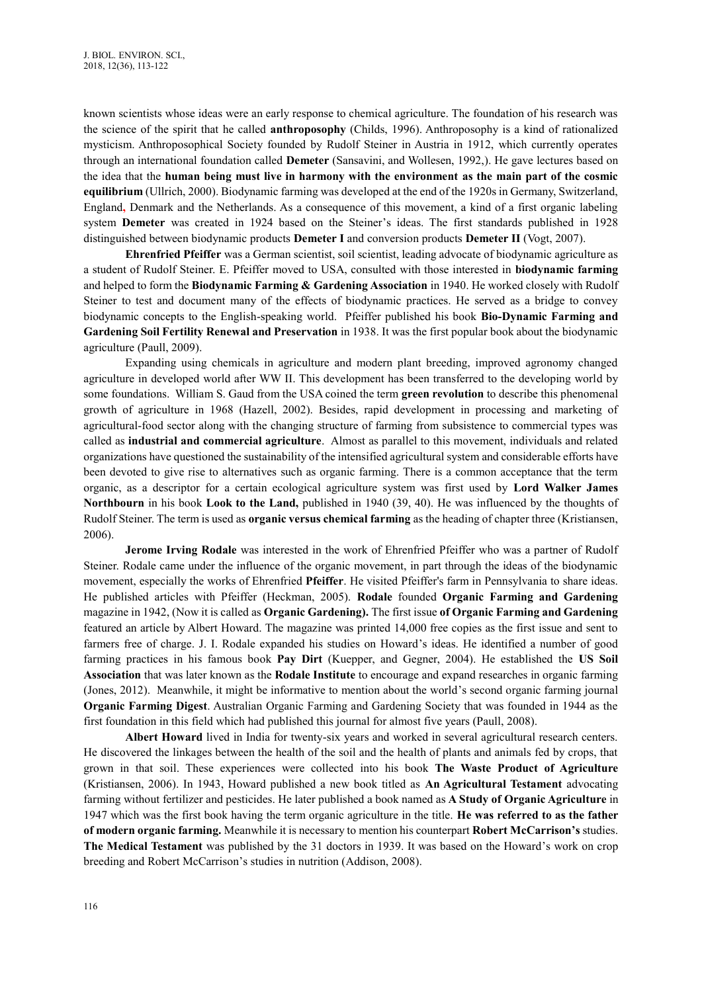known scientists whose ideas were an early response to chemical agriculture. The foundation of his research was the science of the spirit that he called **anthroposophy** (Childs, 1996). Anthroposophy is a kind of rationalized mysticism. Anthroposophical Society founded by Rudolf Steiner in Austria in 1912, which currently operates through an international foundation called **Demeter** (Sansavini, and Wollesen, 1992,). He gave lectures based on the idea that the **human being must live in harmony with the environment as the main part of the cosmic equilibrium** (Ullrich, 2000). Biodynamic farming was developed at the end of the 1920s in Germany, Switzerland, England**,** Denmark and the Netherlands. As a consequence of this movement, a kind of a first organic labeling system **Demeter** was created in 1924 based on the Steiner's ideas. The first standards published in 1928 distinguished between biodynamic products **Demeter I** and conversion products **Demeter II** (Vogt, 2007).

**Ehrenfried Pfeiffer** was a German scientist, soil scientist, leading advocate of biodynamic agriculture as a student of Rudolf Steiner. E. Pfeiffer moved to USA, consulted with those interested in **biodynamic farming**  and helped to form the **[Biodynamic Farming & Gardening Association](http://en.wikipedia.org/wiki/Biodynamic_Farming_%26_Gardening_Association)** in 1940. He worked closely with Rudolf Steiner to test and document many of the effects of biodynamic practices. He served as a bridge to convey biodynamic concepts to the English-speaking world. Pfeiffer published his book **Bio-Dynamic Farming and Gardening Soil Fertility Renewal and Preservation** in 1938. It was the first popular book about the biodynamic agriculture (Paull, 2009).

Expanding using chemicals in agriculture and modern plant breeding, improved agronomy changed agriculture in developed world after WW II. This development has been transferred to the developing world by some foundations. William S. Gaud from the USA coined the term **green revolution** to describe this phenomenal growth of agriculture in 1968 (Hazell, 2002). Besides, rapid development in processing and marketing of agricultural-food sector along with the changing structure of farming from subsistence to commercial types was called as **industrial and commercial agriculture**. Almost as parallel to this movement, individuals and related organizations have questioned the sustainability of the intensified agricultural system and considerable efforts have been devoted to give rise to alternatives such as organic farming. There is a common acceptance that the term organic, as a descriptor for a certain ecological agriculture system was first used by **Lord Walker James Northbourn** in his book **Look to the Land,** published in 1940 (39, 40). He was influenced by the thoughts of Rudolf Steiner. The term is used as **organic versus chemical farming** as the heading of chapter three (Kristiansen, 2006).

**Jerome Irving Rodale** was interested in the work of Ehrenfried Pfeiffer who was a partner of Rudolf Steiner. Rodale came under the influence of the organic movement, in part through the ideas of the biodynamic movement, especially the works of Ehrenfried **Pfeiffer**. He visited Pfeiffer's farm in Pennsylvania to share ideas. He published articles with Pfeiffer (Heckman, 2005). **Rodale** founded **Organic Farming and Gardening** magazine in 1942, (Now it is called as **Organic Gardening).** The first issue **of Organic Farming and Gardening** featured an article by Albert Howard. The magazine was printed 14,000 free copies as the first issue and sent to farmers free of charge. J. I. Rodale expanded his studies on Howard's ideas. He identified a number of good farming practices in his famous book **Pay Dirt** (Kuepper, and Gegner, 2004). He established the **US Soil Association** that was later known as the **Rodale Institute** to encourage and expand researches in organic farming (Jones, 2012). Meanwhile, it might be informative to mention about the world's second organic farming journal **Organic Farming Digest**. Australian Organic Farming and Gardening Society that was founded in 1944 as the first foundation in this field which had published this journal for almost five years (Paull, 2008).

**Albert Howard** lived in India for twenty-six years and worked in several agricultural research centers. He discovered the linkages between the health of the soil and the health of plants and animals fed by crops, that grown in that soil. These experiences were collected into his book **The Waste Product of Agriculture**  (Kristiansen, 2006). In 1943, Howard published a new book titled as **An Agricultural Testament** advocating farming without fertilizer and pesticides. He later published a book named as **A Study of Organic Agriculture** in 1947 which was the first book having the term organic agriculture in the title. **He was referred to as the father of modern organic farming.** Meanwhile it is necessary to mention his counterpart **Robert McCarrison's** studies. **The Medical Testament** was published by the 31 doctors in 1939. It was based on the Howard's work on crop breeding and Robert McCarrison's studies in nutrition (Addison, 2008).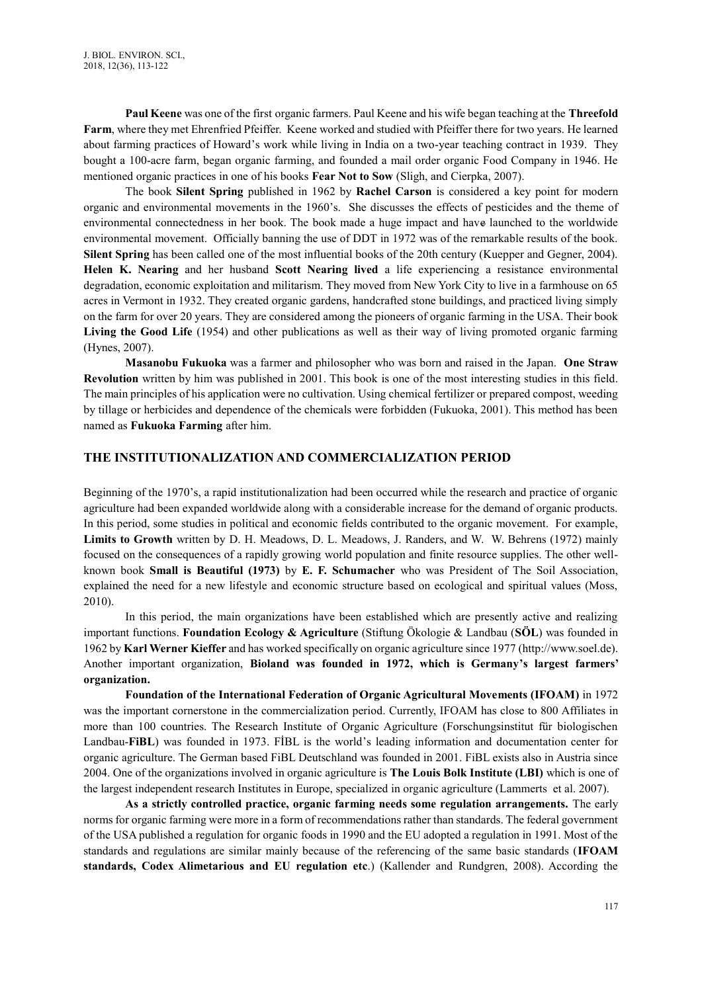**Paul Keene** was one of the first organic farmers. Paul Keene and his wife began teaching at the **Threefold Farm**, where they met Ehrenfried Pfeiffer. Keene worked and studied with Pfeiffer there for two years. He learned about farming practices of Howard's work while living in India on a two-year teaching contract in 1939. They bought a 100-acre farm, began organic farming, and founded a mail order organic Food Company in 1946. He mentioned organic practices in one of his books **Fear Not to Sow** (Sligh, and Cierpka, 2007).

The book **Silent Spring** published in 1962 by **Rachel Carson** is considered a key point for modern organic and environmental movements in the 1960's. She discusses the effects of pesticides and the theme of environmental connectedness in her book. The book made a huge impact and have launched to the worldwide environmental movement. Officially banning the use of DDT in 1972 was of the remarkable results of the book. **Silent Spring** has been called one of the most influential books of the 20th century (Kuepper and Gegner, 2004). **Helen K. Nearing** and her husband **Scott Nearing lived** a life experiencing a resistance environmental degradation, economic exploitation and militarism. They moved from New York City to live in a farmhouse on 65 acres in Vermont in 1932. They created organic gardens, handcrafted stone buildings, and practiced living simply on the farm for over 20 years. They are considered among the pioneers of organic farming in the USA. Their book **Living the Good Life** (1954) and other publications as well as their way of living promoted organic farming (Hynes, 2007).

**Masanobu Fukuoka** was a farmer and philosopher who was born and raised in the Japan. **One Straw Revolution** written by him was published in 2001. This book is one of the most interesting studies in this field. The main principles of his application were no cultivation. Using chemical fertilizer or prepared compost, weeding by tillage or herbicides and dependence of the chemicals were forbidden (Fukuoka, 2001). This method has been named as **Fukuoka Farming** after him.

# **THE INSTITUTIONALIZATION AND COMMERCIALIZATION PERIOD**

Beginning of the 1970's, a rapid institutionalization had been occurred while the research and practice of organic agriculture had been expanded worldwide along with a considerable increase for the demand of organic products. In this period, some studies in political and economic fields contributed to the organic movement. For example, **Limits to Growth** written by [D. H. Meadows,](http://en.wikipedia.org/wiki/Donella_Meadows) [D. L. Meadows,](http://en.wikipedia.org/wiki/Dennis_Meadows) J. Randers, and W. W. Behrens (1972) mainly focused on the consequences of a rapidly growing [world population](http://en.wikipedia.org/wiki/World_population) and finite resource supplies. The other wellknown book **Small is Beautiful (1973)** by **E. F. Schumacher** who was President of The Soil Association, explained the need for a new lifestyle and economic structure based on ecological and spiritual values (Moss, 2010).

In this period, the main organizations have been established which are presently active and realizing important functions. **Foundation Ecology & Agriculture** (Stiftung Ökologie & Landbau (**SÖL**) was founded in 1962 by **Karl Werner Kieffer** and has worked specifically on organic agriculture since 1977 (http://www.soel.de). Another important organization, **Bioland was founded in 1972, which is Germany's largest farmers' organization.** 

**Foundation of the International Federation of Organic Agricultural Movements (IFOAM)** in 1972 was the important cornerstone in the commercialization period. Currently, IFOAM has close to 800 [Affiliates](http://www.ifoam.bio/en/organic-umbrella/membership) in more than 100 countries. The Research Institute of Organic Agriculture (Forschungsinstitut für biologischen Landbau-**FiBL**) was founded in 1973. FİBL is the world's leading information and documentation center for organic agriculture. The German based FiBL Deutschland was founded in 2001. FiBL exists also in Austria since 2004. One of the organizations involved in organic agriculture is **The Louis Bolk Institute (LBI)** which is one of the largest independent research Institutes in Europe, specialized in organic agriculture (Lammerts et al. 2007).

**As a strictly controlled practice, organic farming needs some regulation arrangements.** The early norms for organic farming were more in a form of recommendations rather than standards. The federal government of the USA published a regulation for organic foods in 1990 and the EU adopted a regulation in 1991. Most of the standards and regulations are similar mainly because of the referencing of the same basic standards (**IFOAM standards, Codex Alimetarious and EU regulation etc**.) (Kallender and Rundgren, 2008). According the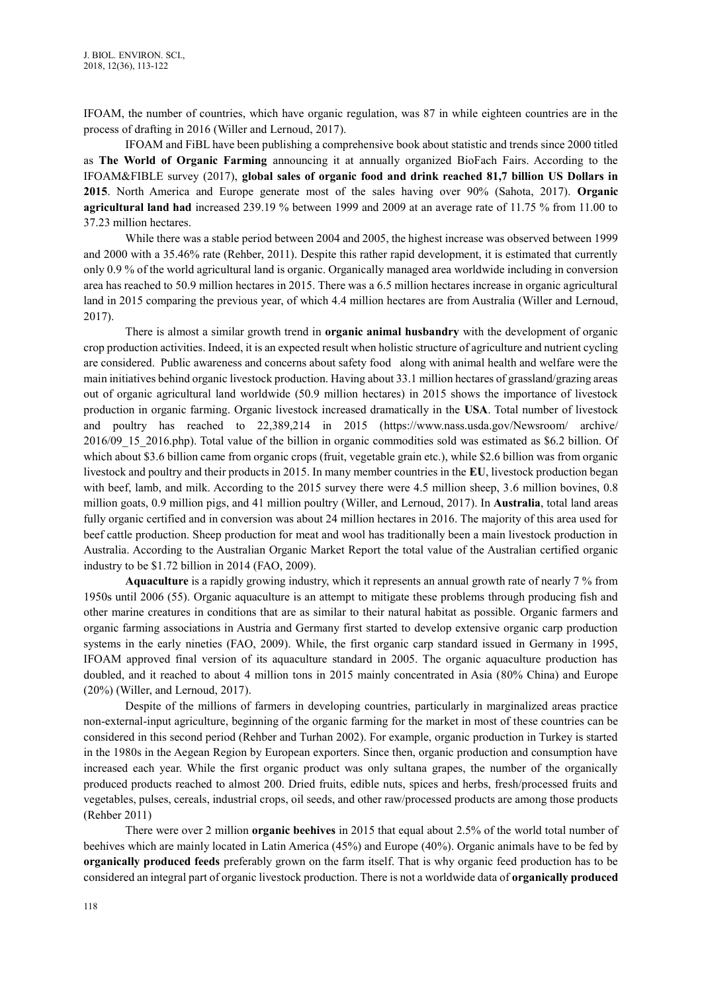IFOAM, the number of countries, which have organic regulation, was 87 in while eighteen countries are in the process of drafting in 2016 (Willer and Lernoud, 2017).

IFOAM and FiBL have been publishing a comprehensive book about statistic and trends since 2000 titled as **The World of Organic Farming** announcing it at annually organized BioFach Fairs. According to the IFOAM&FIBLE survey (2017), **global sales of organic food and drink reached 81,7 billion US Dollars in 2015**. North America and Europe generate most of the sales having over 90% (Sahota, 2017). **Organic agricultural land had** increased 239.19 % between 1999 and 2009 at an average rate of 11.75 % from 11.00 to 37.23 million hectares.

While there was a stable period between 2004 and 2005, the highest increase was observed between 1999 and 2000 with a 35.46% rate (Rehber, 2011). Despite this rather rapid development, it is estimated that currently only 0.9 % of the world agricultural land is organic. Organically managed area worldwide including in conversion area has reached to 50.9 million hectares in 2015. There was a 6.5 million hectares increase in organic agricultural land in 2015 comparing the previous year, of which 4.4 million hectares are from Australia (Willer and Lernoud, 2017).

There is almost a similar growth trend in **organic animal husbandry** with the development of organic crop production activities. Indeed, it is an expected result when holistic structure of agriculture and nutrient cycling are considered. Public awareness and concerns about safety food along with animal health and welfare were the main initiatives behind organic livestock production. Having about 33.1 million hectares of grassland/grazing areas out of organic agricultural land worldwide (50.9 million hectares) in 2015 shows the importance of livestock production in organic farming. Organic livestock increased dramatically in the **USA**. Total number of livestock and poultry has reached to 22,389,214 in 2015 [\(https://www.nass.usda.gov/N](https://www.nass.usda.gov/)ewsroom/ archive/ 2016/09\_15\_2016.php). Total value of the billion in organic commodities sold was estimated as \$6.2 billion. Of which about \$3.6 billion came from organic crops (fruit, vegetable grain etc.), while \$2.6 billion was from organic livestock and poultry and their products in 2015. In many member countries in the **EU**, livestock production began with beef, lamb, and milk. According to the 2015 survey there were 4.5 million sheep, 3.6 million bovines, 0.8 million goats, 0.9 million pigs, and 41 million poultry (Willer, and Lernoud, 2017). In **Australia**, total land areas fully organic certified and in conversion was about 24 million hectares in 2016. The majority of this area used for beef cattle production. Sheep production for meat and wool has traditionally been a main livestock production in Australia. According to the Australian Organic Market Report the total value of the Australian certified organic industry to be \$1.72 billion in 2014 (FAO, 2009).

**Aquaculture** is a rapidly growing industry, which it represents an annual growth rate of nearly 7 % from 1950s until 2006 (55). Organic aquaculture is an attempt to mitigate these problems through producing fish and other marine creatures in conditions that are as similar to their natural habitat as possible. Organic farmers and organic farming associations in Austria and Germany first started to develop extensive organic carp production systems in the early nineties (FAO, 2009). While, the first organic carp standard issued in Germany in 1995, IFOAM approved final version of its aquaculture standard in 2005. The organic aquaculture production has doubled, and it reached to about 4 million tons in 2015 mainly concentrated in Asia (80% China) and Europe (20%) (Willer, and Lernoud, 2017).

Despite of the millions of farmers in developing countries, particularly in marginalized areas practice non-external-input agriculture, beginning of the organic farming for the market in most of these countries can be considered in this second period (Rehber and Turhan 2002). For example, organic production in Turkey is started in the 1980s in the Aegean Region by European exporters. Since then, organic production and consumption have increased each year. While the first organic product was only sultana grapes, the number of the organically produced products reached to almost 200. Dried fruits, edible nuts, spices and herbs, fresh/processed fruits and vegetables, pulses, cereals, industrial crops, oil seeds, and other raw/processed products are among those products (Rehber 2011)

There were over 2 million **organic beehives** in 2015 that equal about 2.5% of the world total number of beehives which are mainly located in Latin America (45%) and Europe (40%). Organic animals have to be fed by **organically produced feeds** preferably grown on the farm itself. That is why organic feed production has to be considered an integral part of organic livestock production. There is not a worldwide data of **organically produced**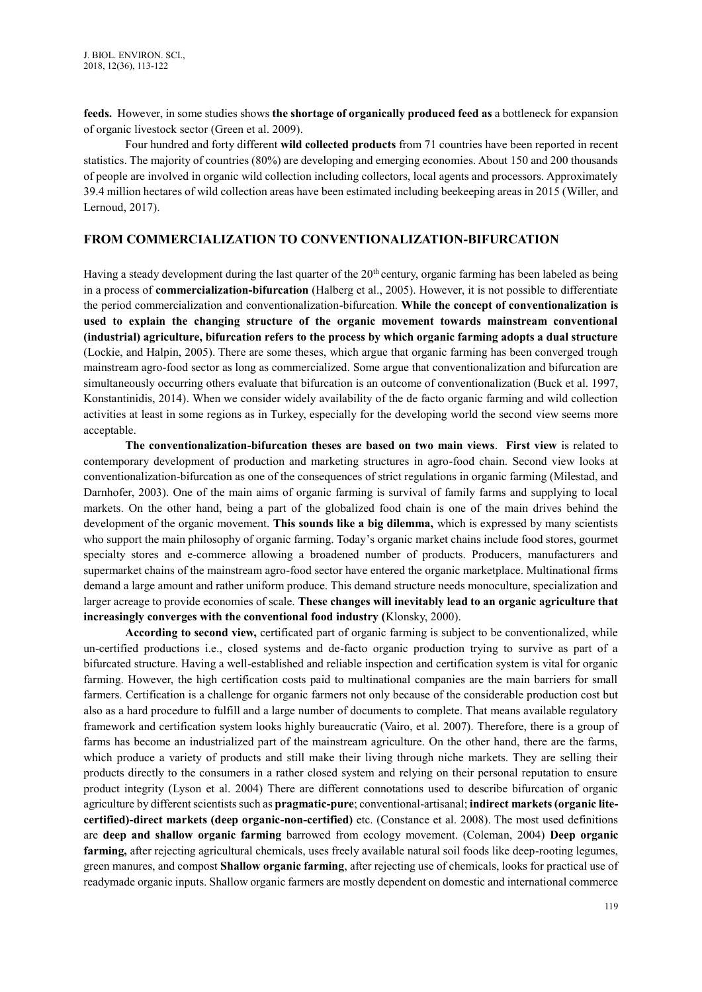**feeds.** However, in some studies shows **the shortage of organically produced feed as** a bottleneck for expansion of organic livestock sector (Green et al. 2009).

Four hundred and forty different **wild collected products** from 71 countries have been reported in recent statistics. The majority of countries (80%) are developing and emerging economies. About 150 and 200 thousands of people are involved in organic wild collection including collectors, local agents and processors. Approximately 39.4 million hectares of wild collection areas have been estimated including beekeeping areas in 2015 (Willer, and Lernoud, 2017).

# **FROM COMMERCIALIZATION TO CONVENTIONALIZATION-BIFURCATION**

Having a steady development during the last quarter of the  $20<sup>th</sup>$  century, organic farming has been labeled as being in a process of **commercialization-bifurcation** (Halberg et al., 2005). However, it is not possible to differentiate the period commercialization and conventionalization-bifurcation. **While the concept of conventionalization is used to explain the changing structure of the organic movement towards mainstream conventional (industrial) agriculture, bifurcation refers to the process by which organic farming adopts a dual structure** (Lockie, and Halpin, 2005). There are some theses, which argue that organic farming has been converged trough mainstream agro-food sector as long as commercialized. Some argue that conventionalization and bifurcation are simultaneously occurring others evaluate that bifurcation is an outcome of conventionalization (Buck et al. 1997, Konstantinidis, 2014). When we consider widely availability of the de facto organic farming and wild collection activities at least in some regions as in Turkey, especially for the developing world the second view seems more acceptable.

**The conventionalization-bifurcation theses are based on two main views**. **First view** is related to contemporary development of production and marketing structures in agro-food chain. Second view looks at conventionalization-bifurcation as one of the consequences of strict regulations in organic farming (Milestad, and Darnhofer, 2003). One of the main aims of organic farming is survival of family farms and supplying to local markets. On the other hand, being a part of the globalized food chain is one of the main drives behind the development of the organic movement. **This sounds like a big dilemma,** which is expressed by many scientists who support the main philosophy of organic farming. Today's organic market chains include food stores, gourmet specialty stores and e-commerce allowing a broadened number of products. Producers, manufacturers and supermarket chains of the mainstream agro-food sector have entered the organic marketplace. Multinational firms demand a large amount and rather uniform produce. This demand structure needs monoculture, specialization and larger acreage to provide economies of scale. **These changes will inevitably lead to an organic agriculture that increasingly converges with the conventional food industry (**Klonsky, 2000).

**According to second view,** certificated part of organic farming is subject to be conventionalized, while un-certified productions i.e., closed systems and de-facto organic production trying to survive as part of a bifurcated structure. Having a well-established and reliable inspection and certification system is vital for organic farming. However, the high certification costs paid to multinational companies are the main barriers for small farmers. Certification is a challenge for organic farmers not only because of the considerable production cost but also as a hard procedure to fulfill and a large number of documents to complete. That means available regulatory framework and certification system looks highly bureaucratic (Vairo, et al. 2007). Therefore, there is a group of farms has become an industrialized part of the mainstream agriculture. On the other hand, there are the farms, which produce a variety of products and still make their living through niche markets. They are selling their products directly to the consumers in a rather closed system and relying on their personal reputation to ensure product integrity (Lyson et al. 2004) There are different connotations used to describe bifurcation of organic agriculture by different scientists such as **pragmatic-pure**; conventional-artisanal; **indirect markets (organic litecertified)-direct markets (deep organic-non-certified)** etc. (Constance et al. 2008). The most used definitions are **deep and shallow organic farming** barrowed from ecology movement. (Coleman, 2004) **Deep organic farming,** after rejecting agricultural chemicals, uses freely available natural soil foods like deep-rooting legumes, green manures, and compost **Shallow organic farming**, after rejecting use of chemicals, looks for practical use of readymade organic inputs. Shallow organic farmers are mostly dependent on domestic and international commerce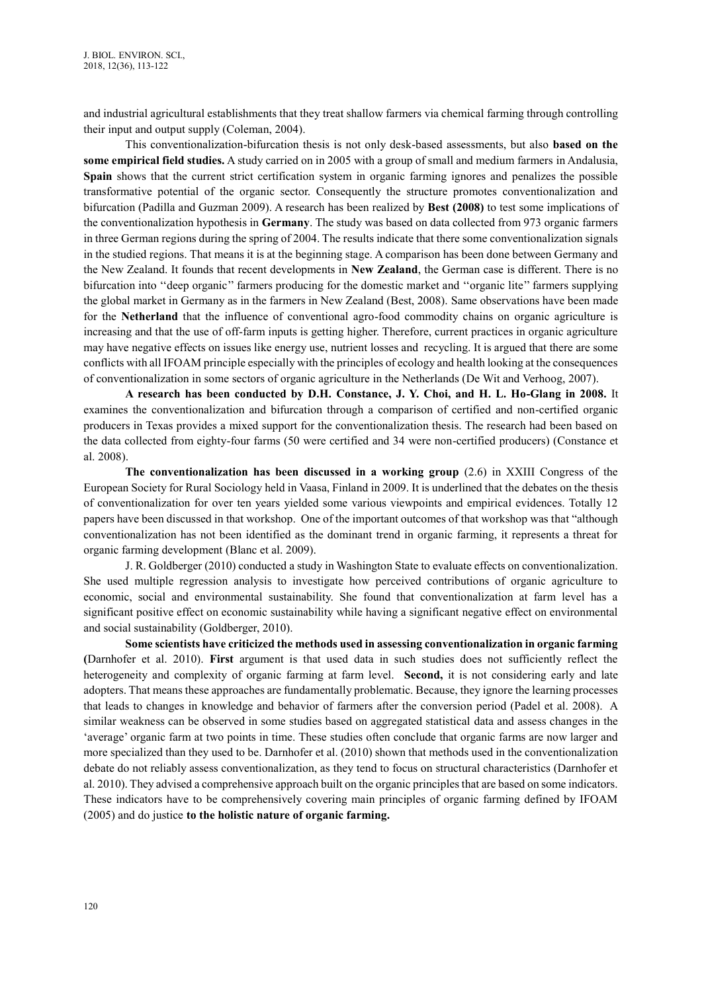and industrial agricultural establishments that they treat shallow farmers via chemical farming through controlling their input and output supply (Coleman, 2004).

This conventionalization-bifurcation thesis is not only desk-based assessments, but also **based on the some empirical field studies.** A study carried on in 2005 with a group of small and medium farmers in Andalusia, **Spain** shows that the current strict certification system in organic farming ignores and penalizes the possible transformative potential of the organic sector. Consequently the structure promotes conventionalization and bifurcation (Padilla and Guzman 2009). A research has been realized by **Best (2008)** to test some implications of the conventionalization hypothesis in **Germany**. The study was based on data collected from 973 organic farmers in three German regions during the spring of 2004. The results indicate that there some conventionalization signals in the studied regions. That means it is at the beginning stage. A comparison has been done between Germany and the New Zealand. It founds that recent developments in **New Zealand**, the German case is different. There is no bifurcation into ''deep organic'' farmers producing for the domestic market and ''organic lite'' farmers supplying the global market in Germany as in the farmers in New Zealand (Best, 2008). Same observations have been made for the **Netherland** that the influence of conventional agro-food commodity chains on organic agriculture is increasing and that the use of off-farm inputs is getting higher. Therefore, current practices in organic agriculture may have negative effects on issues like energy use, nutrient losses and recycling. It is argued that there are some conflicts with all IFOAM principle especially with the principles of ecology and health looking at the consequences of conventionalization in some sectors of organic agriculture in the Netherlands (De Wit and Verhoog, 2007).

**A research has been conducted by D.H. Constance, J. Y. Choi, and H. L. Ho-Glang in 2008.** It examines the conventionalization and bifurcation through a comparison of certified and non-certified organic producers in Texas provides a mixed support for the conventionalization thesis. The research had been based on the data collected from eighty-four farms (50 were certified and 34 were non-certified producers) (Constance et al. 2008).

**The conventionalization has been discussed in a working group** (2.6) in XXIII Congress of the European Society for Rural Sociology held in Vaasa, Finland in 2009. It is underlined that the debates on the thesis of conventionalization for over ten years yielded some various viewpoints and empirical evidences. Totally 12 papers have been discussed in that workshop. One of the important outcomes of that workshop was that "although conventionalization has not been identified as the dominant trend in organic farming, it represents a threat for organic farming development (Blanc et al. 2009).

J. R. Goldberger (2010) conducted a study in Washington State to evaluate effects on conventionalization. She used multiple regression analysis to investigate how perceived contributions of organic agriculture to economic, social and environmental sustainability. She found that conventionalization at farm level has a significant positive effect on economic sustainability while having a significant negative effect on environmental and social sustainability (Goldberger, 2010).

**Some scientists have criticized the methods used in assessing conventionalization in organic farming (**Darnhofer et al. 2010). **First** argument is that used data in such studies does not sufficiently reflect the heterogeneity and complexity of organic farming at farm level. **Second,** it is not considering early and late adopters. That means these approaches are fundamentally problematic. Because, they ignore the learning processes that leads to changes in knowledge and behavior of farmers after the conversion period (Padel et al. 2008). A similar weakness can be observed in some studies based on aggregated statistical data and assess changes in the 'average' organic farm at two points in time. These studies often conclude that organic farms are now larger and more specialized than they used to be. Darnhofer et al. (2010) shown that methods used in the conventionalization debate do not reliably assess conventionalization, as they tend to focus on structural characteristics (Darnhofer et al. 2010). They advised a comprehensive approach built on the organic principles that are based on some indicators. These indicators have to be comprehensively covering main principles of organic farming defined by IFOAM (2005) and do justice **to the holistic nature of organic farming.**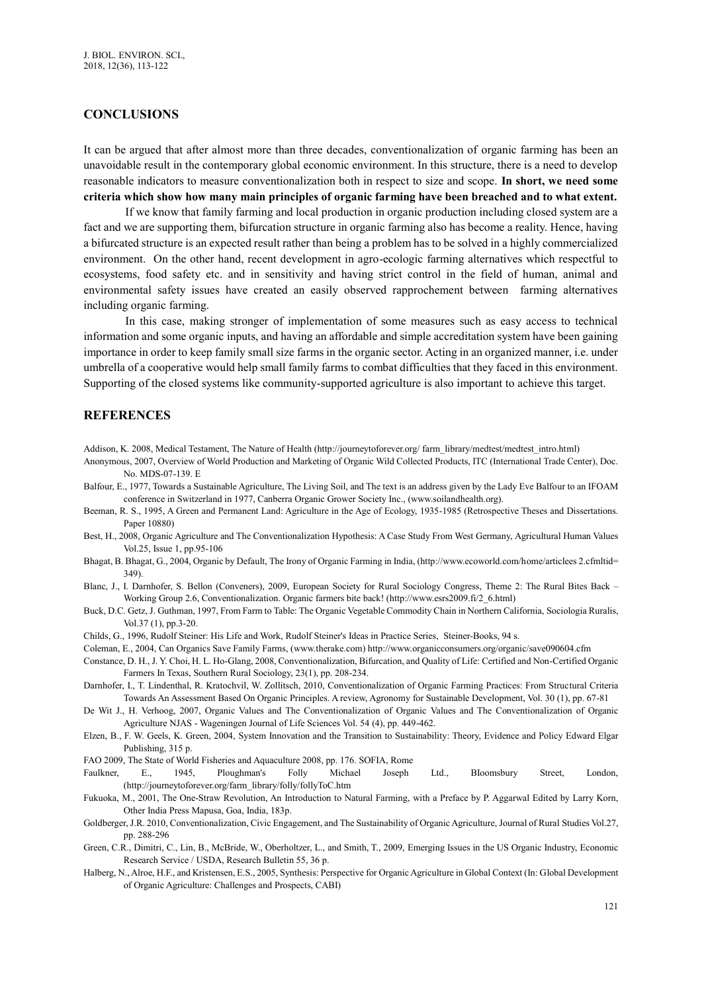#### **CONCLUSIONS**

It can be argued that after almost more than three decades, conventionalization of organic farming has been an unavoidable result in the contemporary global economic environment. In this structure, there is a need to develop reasonable indicators to measure conventionalization both in respect to size and scope. **In short, we need some criteria which show how many main principles of organic farming have been breached and to what extent.**

If we know that family farming and local production in organic production including closed system are a fact and we are supporting them, bifurcation structure in organic farming also has become a reality. Hence, having a bifurcated structure is an expected result rather than being a problem has to be solved in a highly commercialized environment. On the other hand, recent development in agro-ecologic farming alternatives which respectful to ecosystems, food safety etc. and in sensitivity and having strict control in the field of human, animal and environmental safety issues have created an easily observed rapprochement between farming alternatives including organic farming.

In this case, making stronger of implementation of some measures such as easy access to technical information and some organic inputs, and having an affordable and simple accreditation system have been gaining importance in order to keep family small size farms in the organic sector. Acting in an organized manner, i.e. under umbrella of a cooperative would help small family farms to combat difficulties that they faced in this environment. Supporting of the closed systems like community-supported agriculture is also important to achieve this target.

#### **REFERENCES**

Addison, K. 2008, Medical Testament, The Nature of Health (http://journeytoforever.org/ farm\_library/medtest/medtest\_intro.html)

- Anonymous, 2007, Overview of World Production and Marketing of Organic Wild Collected Products, ITC (International Trade Center), Doc. No. MDS-07-139. E
- Balfour, E., 1977, Towards a Sustainable Agriculture, The Living Soil, and The text is an address given by the Lady Eve Balfour to an IFOAM conference in Switzerland in 1977, Canberra Organic Grower Society Inc., (www.soilandhealth.org).
- Beeman, R. S., 1995, A Green and Permanent Land: Agriculture in the Age of Ecology, 1935-1985 (Retrospective Theses and Dissertations. Paper 10880)
- Best, H., 2008, Organic Agriculture and The Conventionalization Hypothesis: A Case Study From West Germany, Agricultural Human Values Vol.25, Issue 1, pp.95-106
- Bhagat, B. Bhagat, G., 2004, Organic by Default, The Irony of Organic Farming in India, (http://www.ecoworld.com/home/articlees 2.cfmltid= 349).
- Blanc, J., I. Darnhofer, S. Bellon (Conveners), 2009, European Society for Rural Sociology Congress, Theme 2: The Rural Bites Back Working Group 2.6, Conventionalization. Organic farmers bite back! [\(http://www.esrs2009.fi/2\\_6.html\)](http://www.esrs2009.fi/2_6.html)
- Buck, D.C. Getz, J. Guthman, 1997, From Farm to Table: The Organic Vegetable Commodity Chain in Northern California, Sociologia Ruralis, Vol.37 (1), pp.3-20.
- [Childs,](https://www.google.com.tr/search?hl=tr&tbm=bks&tbm=bks&q=inauthor:%22Gilbert+Childs%22&sa=X&ved=0CCUQ9AgwAWoVChMIm7mTz9OXyQIVgVksCh2WLAPD) G., 1996[, Rudolf Steiner: His Life and Work,](https://books.google.com.tr/books?id=ZSQVc-Ai04MC&printsec=frontcover&dq=inauthor:%22Gilbert+Childs%22&hl=tr&sa=X&ved=0CCcQ6AEwAmoVChMIm7mTz9OXyQIVgVksCh2WLAPD) [Rudolf Steiner's Ideas in Practice Series,](https://www.google.com.tr/search?hl=tr&tbo=p&tbm=bks&q=bibliogroup:%22Rudolf+Steiner) Steiner-Books, 94 s.
- Coleman, E., 2004, Can Organics Save Family Farms, [\(www.therake.com\)](http://www.therake.com/)<http://www.organicconsumers.org/organic/save090604.cfm>
- Constance, D. H., J. Y. Choi, H. L. Ho-Glang, 2008, Conventionalization, Bifurcation, and Quality of Life: Certified and Non-Certified Organic Farmers In Texas, Southern Rural Sociology, 23(1), pp. 208-234.
- Darnhofer, I., T. Lindenthal, R. Kratochvil, W. Zollitsch, 2010, Conventionalization of Organic Farming Practices: From Structural Criteria Towards An Assessment Based On Organic Principles. A review, Agronomy for Sustainable Development, Vol. 30 (1), pp. 67-81
- De Wit J., H. Verhoog, 2007, Organic Values and The Conventionalization of Organic Values and The Conventionalization of Organic Agriculture NJAS - Wageningen Journal of Life Sciences Vol. 54 (4), pp. 449-462.
- Elzen, B., F. W. Geels, K. Green, 2004, System Innovation and the Transition to Sustainability: Theory, Evidence and Policy Edward Elgar Publishing, 315 p.
- FAO 2009, The State of World Fisheries and Aquaculture 2008, pp. 176. SOFIA, Rome
- Faulkner, E., 1945, Ploughman's Folly Michael Joseph Ltd., BIoomsbury Street, London, [\(http://journeytoforever.org/farm\\_library/folly/follyToC.htm](http://journeytoforever.org/farm_library/folly/follyToC.htm)
- Fukuoka, M., 2001, The One-Straw Revolution, An Introduction to Natural Farming, with a Preface by P. Aggarwal Edited by Larry Korn, Other India Press Mapusa, Goa, India, 183p.
- Goldberger, J.R. 2010, Conventionalization, Civic Engagement, and The Sustainability of Organic Agriculture, Journal of Rural Studies Vol.27, pp. 288-296
- Green, C.R., Dimitri, C., Lin, B., McBride, W., Oberholtzer, L., and Smith, T., 2009, Emerging Issues in the US Organic Industry, Economic Research Service / USDA, Research Bulletin 55, 36 p.
- Halberg, N., Alroe, H.F., and Kristensen, E.S., 2005, Synthesis: Perspective for Organic Agriculture in Global Context (In: Global Development of Organic Agriculture: Challenges and Prospects, CABI)